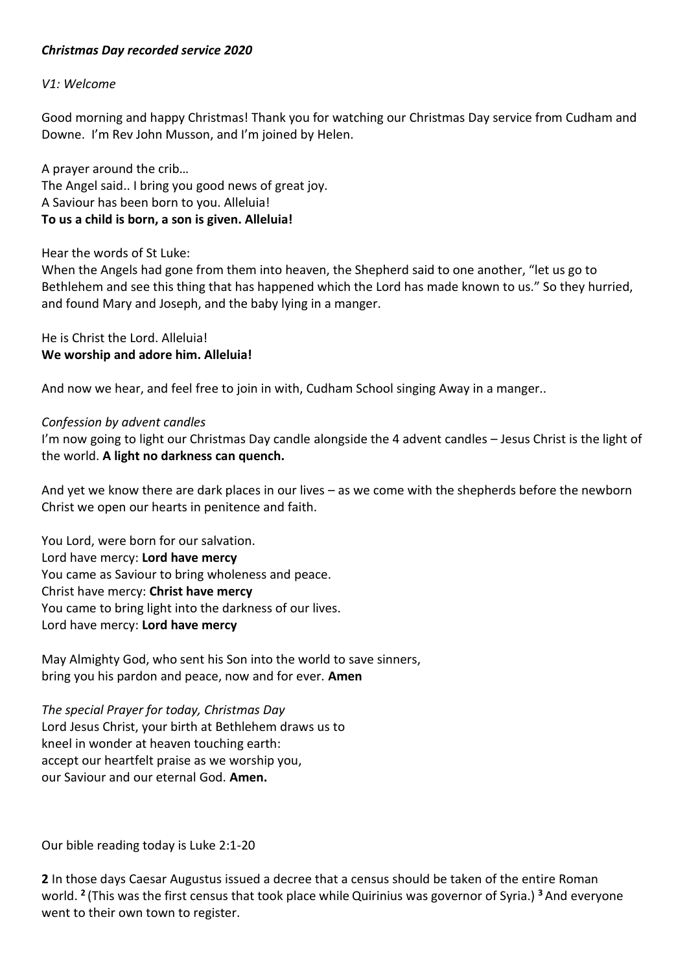## *Christmas Day recorded service 2020*

#### *V1: Welcome*

Good morning and happy Christmas! Thank you for watching our Christmas Day service from Cudham and Downe. I'm Rev John Musson, and I'm joined by Helen.

A prayer around the crib… The Angel said.. I bring you good news of great joy. A Saviour has been born to you. Alleluia! **To us a child is born, a son is given. Alleluia!**

Hear the words of St Luke:

When the Angels had gone from them into heaven, the Shepherd said to one another, "let us go to Bethlehem and see this thing that has happened which the Lord has made known to us." So they hurried, and found Mary and Joseph, and the baby lying in a manger.

He is Christ the Lord. Alleluia! **We worship and adore him. Alleluia!**

And now we hear, and feel free to join in with, Cudham School singing Away in a manger..

#### *Confession by advent candles*

I'm now going to light our Christmas Day candle alongside the 4 advent candles – Jesus Christ is the light of the world. **A light no darkness can quench.**

And yet we know there are dark places in our lives – as we come with the shepherds before the newborn Christ we open our hearts in penitence and faith.

You Lord, were born for our salvation. Lord have mercy: **Lord have mercy** You came as Saviour to bring wholeness and peace. Christ have mercy: **Christ have mercy** You came to bring light into the darkness of our lives. Lord have mercy: **Lord have mercy**

May Almighty God, who sent his Son into the world to save sinners, bring you his pardon and peace, now and for ever. **Amen**

*The special Prayer for today, Christmas Day*  Lord Jesus Christ, your birth at Bethlehem draws us to kneel in wonder at heaven touching earth: accept our heartfelt praise as we worship you, our Saviour and our eternal God. **Amen.**

Our bible reading today is Luke 2:1-20

**2** In those days Caesar Augustus issued a decree that a census should be taken of the entire Roman world. **<sup>2</sup>** (This was the first census that took place while Quirinius was governor of Syria.) **<sup>3</sup>** And everyone went to their own town to register.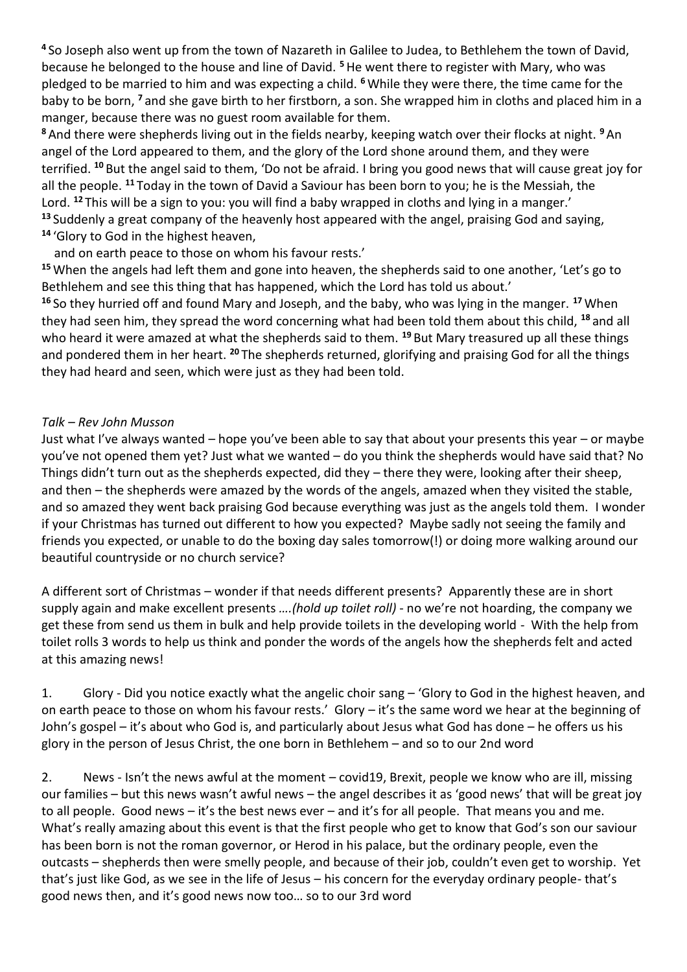**<sup>4</sup>** So Joseph also went up from the town of Nazareth in Galilee to Judea, to Bethlehem the town of David, because he belonged to the house and line of David. **<sup>5</sup>**He went there to register with Mary, who was pledged to be married to him and was expecting a child. **<sup>6</sup>** While they were there, the time came for the baby to be born, **<sup>7</sup>** and she gave birth to her firstborn, a son. She wrapped him in cloths and placed him in a manger, because there was no guest room available for them.

**<sup>8</sup>** And there were shepherds living out in the fields nearby, keeping watch over their flocks at night. **<sup>9</sup>**An angel of the Lord appeared to them, and the glory of the Lord shone around them, and they were terrified. **<sup>10</sup>** But the angel said to them, 'Do not be afraid. I bring you good news that will cause great joy for all the people. **<sup>11</sup>** Today in the town of David a Saviour has been born to you; he is the Messiah, the Lord. **<sup>12</sup>** This will be a sign to you: you will find a baby wrapped in cloths and lying in a manger.' **<sup>13</sup>** Suddenly a great company of the heavenly host appeared with the angel, praising God and saying, **<sup>14</sup>** 'Glory to God in the highest heaven,

and on earth peace to those on whom his favour rests.'

**<sup>15</sup>** When the angels had left them and gone into heaven, the shepherds said to one another, 'Let's go to Bethlehem and see this thing that has happened, which the Lord has told us about.'

**<sup>16</sup>** So they hurried off and found Mary and Joseph, and the baby, who was lying in the manger. **<sup>17</sup>** When they had seen him, they spread the word concerning what had been told them about this child, **<sup>18</sup>** and all who heard it were amazed at what the shepherds said to them. **<sup>19</sup>** But Mary treasured up all these things and pondered them in her heart. **<sup>20</sup>** The shepherds returned, glorifying and praising God for all the things they had heard and seen, which were just as they had been told.

# *Talk – Rev John Musson*

Just what I've always wanted – hope you've been able to say that about your presents this year – or maybe you've not opened them yet? Just what we wanted – do you think the shepherds would have said that? No Things didn't turn out as the shepherds expected, did they – there they were, looking after their sheep, and then – the shepherds were amazed by the words of the angels, amazed when they visited the stable, and so amazed they went back praising God because everything was just as the angels told them. I wonder if your Christmas has turned out different to how you expected? Maybe sadly not seeing the family and friends you expected, or unable to do the boxing day sales tomorrow(!) or doing more walking around our beautiful countryside or no church service?

A different sort of Christmas – wonder if that needs different presents? Apparently these are in short supply again and make excellent presents *….(hold up toilet roll)* - no we're not hoarding, the company we get these from send us them in bulk and help provide toilets in the developing world - With the help from toilet rolls 3 words to help us think and ponder the words of the angels how the shepherds felt and acted at this amazing news!

1. Glory - Did you notice exactly what the angelic choir sang – 'Glory to God in the highest heaven, and on earth peace to those on whom his favour rests.' Glory – it's the same word we hear at the beginning of John's gospel – it's about who God is, and particularly about Jesus what God has done – he offers us his glory in the person of Jesus Christ, the one born in Bethlehem – and so to our 2nd word

2. News - Isn't the news awful at the moment – covid19, Brexit, people we know who are ill, missing our families – but this news wasn't awful news – the angel describes it as 'good news' that will be great joy to all people. Good news – it's the best news ever – and it's for all people. That means you and me. What's really amazing about this event is that the first people who get to know that God's son our saviour has been born is not the roman governor, or Herod in his palace, but the ordinary people, even the outcasts – shepherds then were smelly people, and because of their job, couldn't even get to worship. Yet that's just like God, as we see in the life of Jesus – his concern for the everyday ordinary people- that's good news then, and it's good news now too… so to our 3rd word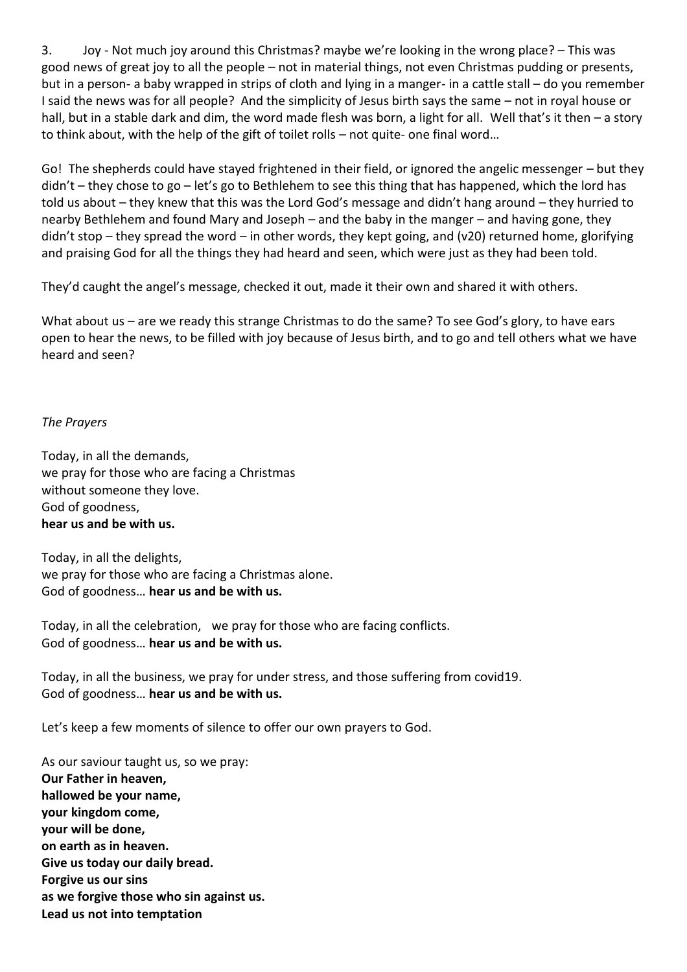3. Joy - Not much joy around this Christmas? maybe we're looking in the wrong place? – This was good news of great joy to all the people – not in material things, not even Christmas pudding or presents, but in a person- a baby wrapped in strips of cloth and lying in a manger- in a cattle stall – do you remember I said the news was for all people? And the simplicity of Jesus birth says the same – not in royal house or hall, but in a stable dark and dim, the word made flesh was born, a light for all. Well that's it then – a story to think about, with the help of the gift of toilet rolls – not quite- one final word…

Go! The shepherds could have stayed frightened in their field, or ignored the angelic messenger – but they didn't – they chose to go – let's go to Bethlehem to see this thing that has happened, which the lord has told us about – they knew that this was the Lord God's message and didn't hang around – they hurried to nearby Bethlehem and found Mary and Joseph – and the baby in the manger – and having gone, they didn't stop – they spread the word – in other words, they kept going, and (v20) returned home, glorifying and praising God for all the things they had heard and seen, which were just as they had been told.

They'd caught the angel's message, checked it out, made it their own and shared it with others.

What about us – are we ready this strange Christmas to do the same? To see God's glory, to have ears open to hear the news, to be filled with joy because of Jesus birth, and to go and tell others what we have heard and seen?

# *The Prayers*

Today, in all the demands, we pray for those who are facing a Christmas without someone they love. God of goodness, **hear us and be with us.**

Today, in all the delights, we pray for those who are facing a Christmas alone. God of goodness… **hear us and be with us.**

Today, in all the celebration, we pray for those who are facing conflicts. God of goodness… **hear us and be with us.**

Today, in all the business, we pray for under stress, and those suffering from covid19. God of goodness… **hear us and be with us.**

Let's keep a few moments of silence to offer our own prayers to God.

As our saviour taught us, so we pray: **Our Father in heaven, hallowed be your name, your kingdom come, your will be done, on earth as in heaven. Give us today our daily bread. Forgive us our sins as we forgive those who sin against us. Lead us not into temptation**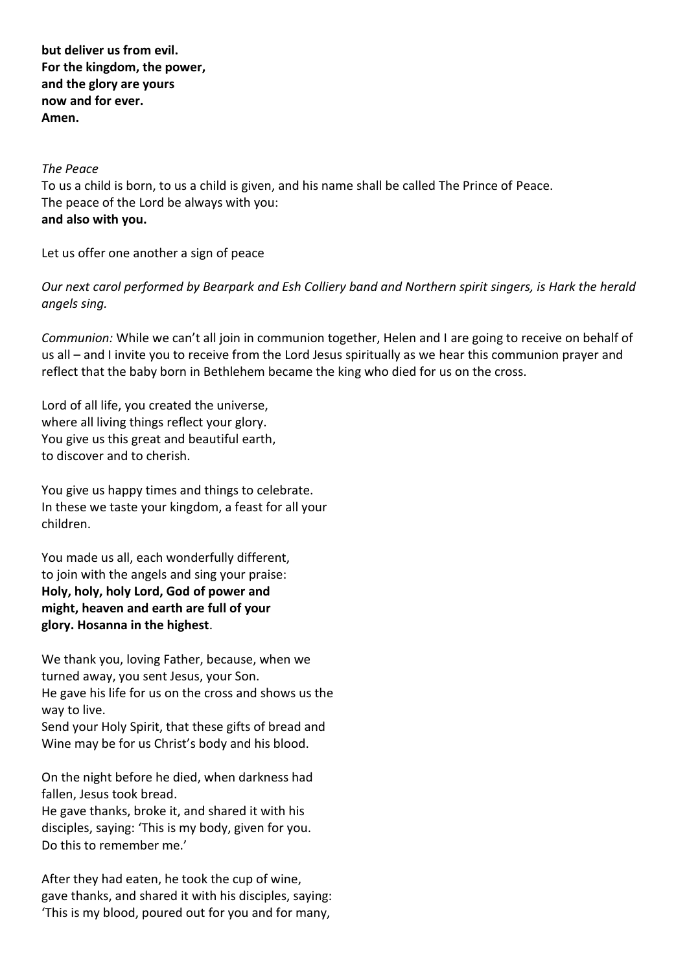**but deliver us from evil. For the kingdom, the power, and the glory are yours now and for ever. Amen.**

### *The Peace*

To us a child is born, to us a child is given, and his name shall be called The Prince of Peace. The peace of the Lord be always with you: **and also with you.**

Let us offer one another a sign of peace

*Our next carol performed by Bearpark and Esh Colliery band and Northern spirit singers, is Hark the herald angels sing.* 

*Communion:* While we can't all join in communion together, Helen and I are going to receive on behalf of us all – and I invite you to receive from the Lord Jesus spiritually as we hear this communion prayer and reflect that the baby born in Bethlehem became the king who died for us on the cross.

Lord of all life, you created the universe, where all living things reflect your glory. You give us this great and beautiful earth, to discover and to cherish.

You give us happy times and things to celebrate. In these we taste your kingdom, a feast for all your children.

You made us all, each wonderfully different, to join with the angels and sing your praise: **Holy, holy, holy Lord, God of power and might, heaven and earth are full of your glory. Hosanna in the highest**.

We thank you, loving Father, because, when we turned away, you sent Jesus, your Son. He gave his life for us on the cross and shows us the way to live.

Send your Holy Spirit, that these gifts of bread and Wine may be for us Christ's body and his blood.

On the night before he died, when darkness had fallen, Jesus took bread.

He gave thanks, broke it, and shared it with his disciples, saying: 'This is my body, given for you. Do this to remember me.'

After they had eaten, he took the cup of wine, gave thanks, and shared it with his disciples, saying: 'This is my blood, poured out for you and for many,